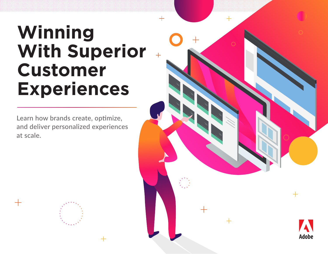# **Winning With Superior Customer Experiences**

Learn how brands create, optimize, and deliver personalized experiences at scale.

╅

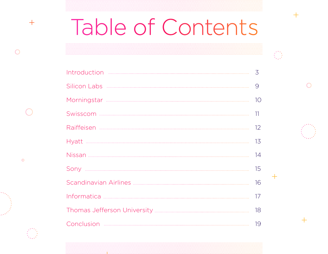# Table of Contents

 $\pm$ 

 $\left\{ \begin{array}{c} 0 \\ 0 \end{array} \right\}$ 

| 3  |
|----|
| 9  |
| 10 |
| 11 |
| 12 |
| 13 |
| 14 |
| 15 |
| 16 |
| 17 |
| 18 |
| 19 |



 $\bullet$ 

 $+$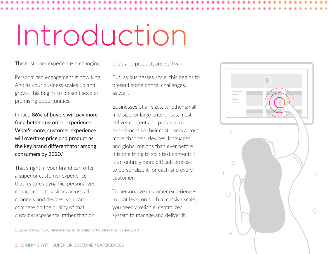# Introduction

The customer experience is changing.

Personalized engagement is now king. And as your business scales up and grows, this begins to present several promising opportunities.

In fact, 86% of buyers will pay more for a better customer experience. What's more, customer experience will overtake price and product as the key brand differentiator among consumers by 2020.<sup>1</sup>

That's right: if your brand can offer a superior customer experience that features dynamic, personalized engagement to visitors across all channels and devices, you can compete on the quality of that *customer experience*, rather than on

price and product, and still win.

But, as businesses scale, this begins to present some critical challenges, as well.

Businesses of all sizes, whether small, mid-size, or large enterprises, must deliver content and personalized experiences to their customers across more channels, devices, languages, and global regions than ever before. It is one thing to split test content; it is an entirely more difficult process to personalize it for each and every customer.

To personalize customer experiences to that level on such a massive scale, you need a reliable, centralized system to manage and deliver it.



1. Super Office. "*[32 Customer Experience Statistics You Need to Know for 2018](https://www.superoffice.com/blog/customer-experience-statistics/)*."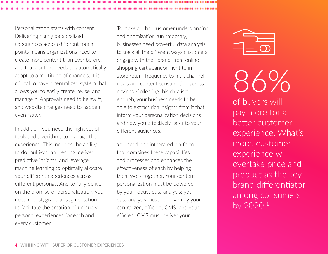Personalization starts with content. Delivering highly personalized experiences across different touch points means organizations need to create more content than ever before, and that content needs to automatically adapt to a multitude of channels. It is critical to have a centralized system that allows you to easily create, reuse, and manage it. Approvals need to be swift, and website changes need to happen even faster.

In addition, you need the right set of tools and algorithms to manage the experience. This includes the ability to do multi-variant testing, deliver predictive insights, and leverage machine learning to optimally allocate your different experiences across different personas. And to fully deliver on the promise of personalization, you need robust, granular segmentation to facilitate the creation of uniquely personal experiences for each and every customer.

To make all that customer understanding and optimization run smoothly, businesses need powerful data analysis to track all the different ways customers engage with their brand, from online shopping cart abandonment to instore return frequency to multichannel news and content consumption across devices. Collecting this data isn't enough; your business needs to be able to extract rich insights from it that inform your personalization decisions and how you effectively cater to your different audiences.

You need one integrated platform that combines these capabilities and processes and enhances the effectiveness of each by helping them work together. Your content personalization must be powered by your robust data analysis; your data analysis must be driven by your centralized, efficient CMS; and your efficient CMS must deliver your



86%

of buyers will pay more for a better customer experience. What's more, customer experience will overtake price and product as the key brand differentiator among consumers by 2020.1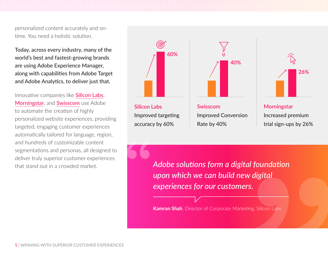personalized content accurately and ontime. You need a holistic solution.

Today, across every industry, many of the world's best and fastest-growing brands are using Adobe Experience Manager, along with capabilities from Adobe Target and Adobe Analytics, to deliver just that.

Innovative companies like **[Silicon Labs](https://wwwimages2.adobe.com/content/dam/acom/en/customer-success/pdfs/silicon-labs-case-study.pdf)**, [Morningstar](https://wwwimages2.adobe.com/content/dam/acom/en/customer-success/pdfs/morningstar-case-study.pdf), and [Swisscom](https://wwwimages2.adobe.com/content/dam/acom/en/customer-success/pdfs/swisscom-digtrans-case-study.pdf) use Adobe to automate the creation of highly personalized website experiences, providing targeted, engaging customer experiences automatically tailored for language, region, and hundreds of customizable content segmentations and personas, all designed to deliver truly superior customer experiences



**Silicon Labs** Improved targeting accuracy by 60%





**Morningstar** Increased premium trial sign-ups by 26%

that stand out in a crowded market. *Adobe solutions form a digital foundation upon which we can build new digital experiences for our customers.*

**Kamran Shah**, Director of Corporate Marketing, Silicon Labs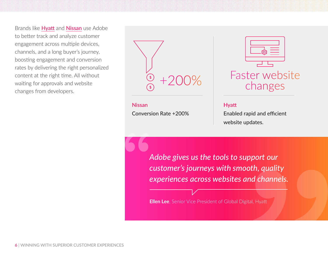Brands like **[Hyatt](https://wwwimages2.adobe.com/content/dam/acom/en/customer-success/pdfs/hyatt-case-study.pdf)** and **[Nissan](https://wwwimages2.adobe.com/content/dam/acom/en/customer-success/pdfs/nissan-case-study.pdf)** use Adobe to better track and analyze customer engagement across multiple devices, channels, and a long buyer's journey, boosting engagement and conversion rates by delivering the right personalized content at the right time. All without waiting for approvals and website changes from developers.



**Nissan** Conversion Rate +200%



**Hyatt**

Enabled rapid and efficient website updates.

*Adobe gives us the tools to support our customer's journeys with smooth, quality experiences across websites and channels.*

**Ellen Lee**, Senior Vice President of Global Digital, Hyatt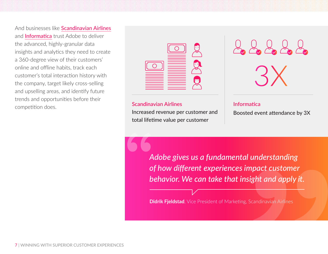And businesses like [Scandinavian Airlines](https://wwwimages2.adobe.com/content/dam/acom/en/customer-success/pdfs/sas-case-study.pdf) and **[Informatica](https://wwwimages2.adobe.com/content/dam/acom/en/customer-success/pdfs/informatica-case-study.pdf)** trust Adobe to deliver the advanced, highly-granular data insights and analytics they need to create a 360-degree view of their customers' online and offline habits, track each customer's total interaction history with the company, target likely cross-selling and upselling areas, and identify future trends and opportunities before their competition does.





#### **Scandinavian Airlines**

Increased revenue per customer and total lifetime value per customer

**Informatica**

Boosted event attendance by 3X

*Adobe gives us a fundamental understanding of how different experiences impact customer behavior. We can take that insight and apply it.*

**Didrik Fjeldstad**, Vice President of Marketing, Scandinavian Airlines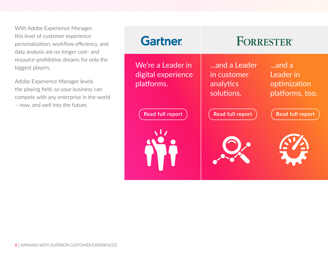With Adobe Experience Manager, this level of customer experience personalization, workflow efficiency, and data analysis are no longer cost- and resource-prohibitive dreams for only the biggest players.

Adobe Experience Manager levels the playing field, so your business can compete with any enterprise in the world – now, and well into the future.

| <b>Gartner</b>                                        | <b>FORRESTER®</b>                                      |                                                       |  |
|-------------------------------------------------------|--------------------------------------------------------|-------------------------------------------------------|--|
| We're a Leader in<br>digital experience<br>platforms. | and a Leader<br>in customer<br>analytics<br>solutions. | and a<br>Leader in<br>optimization<br>platforms, too. |  |
| Read full report                                      | <b>Read full report</b>                                | <b>Read full report</b>                               |  |
|                                                       |                                                        |                                                       |  |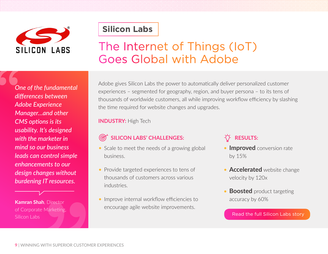

### **[Silicon Labs](https://wwwimages2.adobe.com/content/dam/acom/en/customer-success/pdfs/silicon-labs-case-study.pdf)**

## The Internet of Things (IoT) Goes Global with Adobe

*One of the fundamental differences between Adobe Experience Manager…and other CMS options is its usability. It's designed with the marketer in mind so our business leads can control simple enhancements to our design changes without burdening IT resources.*

**Kamran Shah**, Director of Corporate Marketing, Silicon Labs

Adobe gives Silicon Labs the power to automatically deliver personalized customer experiences – segmented for geography, region, and buyer persona – to its tens of thousands of worldwide customers, all while improving workflow efficiency by slashing the time required for website changes and upgrades.

#### **INDUSTRY:** High Tech

#### **SILICON LABS' CHALLENGES:**

- Scale to meet the needs of a growing global business.
- Provide targeted experiences to tens of thousands of customers across various industries.
- **Improve internal workflow efficiencies to** encourage agile website improvements.

### $\cdot$ <sup>V</sup> RESULTS:

- **Improved** conversion rate by 15%
- **Accelerated** website change velocity by 120x
- **Boosted** product targeting accuracy by 60%

[Read the full Silicon Labs story](https://wwwimages2.adobe.com/content/dam/acom/en/customer-success/pdfs/silicon-labs-case-study.pdf)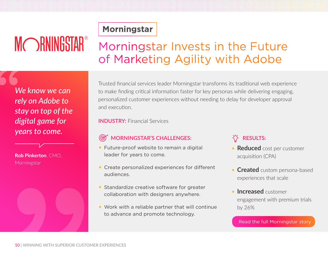# MORNINGSTAR®

### **[Morningstar](https://wwwimages2.adobe.com/content/dam/acom/en/customer-success/pdfs/morningstar-case-study.pdf)**

## Morningstar Invests in the Future of Marketing Agility with Adobe

*We know we can rely on Adobe to stay on top of the digital game for years to come.*

**Rob Pinkerton**, CMO, Morningstar

Trusted financial services leader Morningstar transforms its traditional web experience to make finding critical information faster for key personas while delivering engaging, personalized customer experiences without needing to delay for developer approval and execution.

**INDUSTRY:** Financial Services

#### **MORNINGSTAR'S CHALLENGES:**  $\circledcirc$

- Future-proof website to remain a digital leader for years to come.
- Create personalized experiences for different audiences.
- **Standardize creative software for greater** collaboration with designers anywhere.
- Work with a reliable partner that will continue to advance and promote technology.

### $\overleftrightarrow{O}$  RESULTS:

- **Reduced** cost per customer acquisition (CPA)
- **Created** custom persona-based experiences that scale
- **Increased** customer engagement with premium trials by 26%

[Read the full Morningstar story](https://wwwimages2.adobe.com/content/dam/acom/en/customer-success/pdfs/morningstar-case-study.pdf)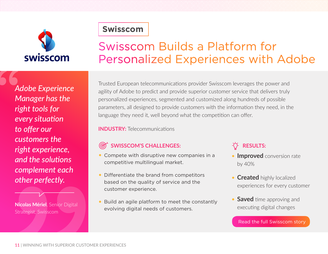

### **[Swisscom](https://wwwimages2.adobe.com/content/dam/acom/en/customer-success/pdfs/swisscom-digtrans-case-study.pdf)**

## Swisscom Builds a Platform for Personalized Experiences with Adobe

*Adobe Experience Manager has the right tools for every situation to offer our customers the right experience, and the solutions complement each other perfectly.*

**Nicolas Mériel**, Senior Digital Strategist, Swisscom

Trusted European telecommunications provider Swisscom leverages the power and agility of Adobe to predict and provide superior customer service that delivers truly personalized experiences, segmented and customized along hundreds of possible parameters, all designed to provide customers with the information they need, in the language they need it, well beyond what the competition can offer.

**INDUSTRY:** Telecommunications

### **SWISSCOM'S CHALLENGES:**

- Compete with disruptive new companies in a competitive multilingual market.
- Differentiate the brand from competitors based on the quality of service and the customer experience.
- Build an agile platform to meet the constantly evolving digital needs of customers.

### **RESULTS:**

- **Improved** conversion rate by 40%
- **Created** highly localized experiences for every customer
- **Saved** time approving and executing digital changes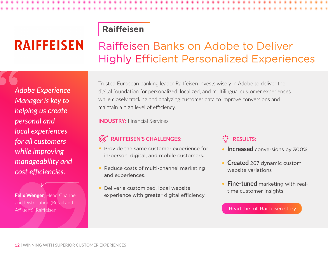# **RAIFFEISEN**

## Raiffeisen Banks on Adobe to Deliver Highly Efficient Personalized Experiences

*Adobe Experience Manager is key to helping us create personal and local experiences for all customers while improving manageability and cost efficiencies.*

**Felix Wenger**, Head Channel and Distribution (Retail and Affluent), Raiffeisen

Trusted European banking leader Raiffeisen invests wisely in Adobe to deliver the digital foundation for personalized, localized, and multilingual customer experiences while closely tracking and analyzing customer data to improve conversions and maintain a high level of efficiency.

**INDUSTRY:** Financial Services

**[Raiffeisen](https://wwwimages2.adobe.com/content/dam/acom/en/customer-success/pdfs/raiffeisen-switzerland-case-study.pdf)**

#### **RAIFFEISEN'S CHALLENGES:** <u>(@)</u>

- Provide the same customer experience for in-person, digital, and mobile customers.
- Reduce costs of multi-channel marketing and experiences.
- Deliver a customized, local website experience with greater digital efficiency.

### **RESULTS:**

- **Increased** conversions by 300%
- **Created** 267 dynamic custom website variations
- **Fine-tuned** marketing with realtime customer insights

#### [Read the full Raiffeisen story](https://wwwimages2.adobe.com/content/dam/acom/en/customer-success/pdfs/raiffeisen-switzerland-case-study.pdf)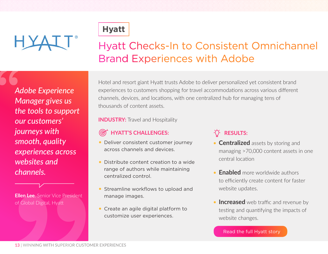# HYALT<sup>®</sup>



### Hyatt Checks-In to Consistent Omnichannel Brand Experiences with Adobe

*Adobe Experience Manager gives us the tools to support our customers' journeys with smooth, quality experiences across websites and channels.*

**Ellen Lee**, Senior Vice President of Global Digital, Hyatt

Hotel and resort giant Hyatt trusts Adobe to deliver personalized yet consistent brand experiences to customers shopping for travel accommodations across various different channels, devices, and locations, with one centralized hub for managing tens of thousands of content assets.

**INDUSTRY:** Travel and Hospitality

### **HYATT'S CHALLENGES:**

- Deliver consistent customer journey across channels and devices.
- Distribute content creation to a wide range of authors while maintaining centralized control.
- Streamline workflows to upload and manage images.
- Create an agile digital platform to customize user experiences.

### $\overleftrightarrow{O}$  RESULTS:

- **Centralized** assets by storing and managing >70,000 content assets in one central location
- **Enabled** more worldwide authors to efficiently create content for faster website updates.
- **Increased** web traffic and revenue by testing and quantifying the impacts of website changes.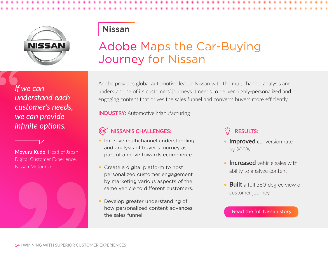

### **[Nissan](https://wwwimages2.adobe.com/content/dam/acom/en/customer-success/pdfs/nissan-case-study.pdf)**

## Adobe Maps the Car-Buying Journey for Nissan

### *If we can understand each customer's needs, we can provide infinite options.*





Adobe provides global automotive leader Nissan with the multichannel analysis and understanding of its customers' journeys it needs to deliver highly-personalized and engaging content that drives the sales funnel and converts buyers more efficiently.

**INDUSTRY:** Automotive Manufacturing

### **NISSAN'S CHALLENGES:**

- **Improve multichannel understanding** and analysis of buyer's journey as part of a move towards ecommerce.
- Create a digital platform to host personalized customer engagement by marketing various aspects of the same vehicle to different customers.
- Develop greater understanding of how personalized content advances the sales funnel.

### **RESULTS:**

- **Improved** conversion rate by 200%
- **Increased** vehicle sales with ability to analyze content
- **Built** a full 360-degree view of customer journey

#### [Read the full Nissan story](https://wwwimages2.adobe.com/content/dam/acom/en/customer-success/pdfs/nissan-case-study.pdf)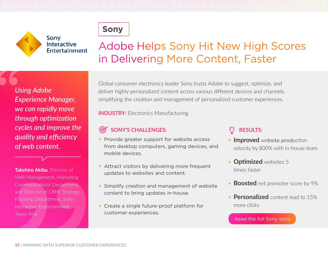

## Adobe Helps Sony Hit New High Scores in Delivering More Content, Faster

*Using Adobe Experience Manager, we can rapidly move through optimization cycles and improve the quality and efficiency of web content.*

Sony

Interactive Entertainment

**Takehiro Akiba**, Director of Web Management, Marketing Communications Department, and Director of CRM, Strategy Planning Department, Sony Interactive Entertainment Japan Asia

Global consumer electronics leader Sony trusts Adobe to suggest, optimize, and deliver highly personalized content across various different devices and channels, simplifying the creation and management of personalized customer experiences.

**INDUSTRY:** Electronics Manufacturing

### **SONY'S CHALLENGES:**

- Provide greater support for website access from desktop computers, gaming devices, and mobile devices.
- Attract visitors by delivering more frequent updates to websites and content.
- **Simplify creation and management of website** content to bring updates in-house.
- Create a single future-proof platform for customer experiences.

### **RESULTS:**

- **Improved** website production velocity by 800% with in-house team
- **Optimized** websites 5 times faster
- **Boosted** net promoter score by 9%
- **Personalized** content lead to 15% more clicks

#### [Read the full Sony story](https://wwwimages2.adobe.com/content/dam/acom/en/customer-success/pdfs/sony-interactive-entertainment-case-study.pdf)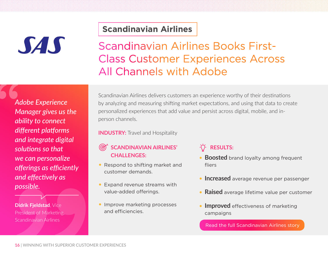# SAS

**[Scandinavian Airlines](https://wwwimages2.adobe.com/content/dam/acom/en/customer-success/pdfs/sas-case-study.pdf)**

Scandinavian Airlines Books First-Class Customer Experiences Across All Channels with Adobe

*Adobe Experience Manager gives us the ability to connect different platforms and integrate digital solutions so that we can personalize offerings as efficiently and effectively as possible.*

**Didrik Fjeldstad**, Vice President of Marketing, Scandinavian Airlines

Scandinavian Airlines delivers customers an experience worthy of their destinations by analyzing and measuring shifting market expectations, and using that data to create personalized experiences that add value and persist across digital, mobile, and inperson channels.

**INDUSTRY:** Travel and Hospitality

### **SCANDINAVIAN AIRLINES' CHALLENGES:**

- Respond to shifting market and customer demands.
- **Expand revenue streams with** value-added offerings.
- **Improve marketing processes** and efficiencies.

### $\overrightarrow{A}$  RESULTS:

- **Boosted** brand loyalty among frequent fliers
- **Increased** average revenue per passenger
- **Raised** average lifetime value per customer
- **Improved** effectiveness of marketing campaigns

[Read the full Scandinavian Airlines story](https://wwwimages2.adobe.com/content/dam/acom/en/customer-success/pdfs/sas-case-study.pdf)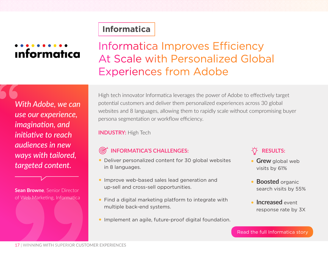### **[Informatica](https://wwwimages2.adobe.com/content/dam/acom/en/customer-success/pdfs/informatica-case-study.pdf)**

# **Informatica**

### Informatica Improves Efficiency At Scale with Personalized Global Experiences from Adobe

*With Adobe, we can use our experience, imagination, and initiative to reach audiences in new ways with tailored, targeted content.*

**Sean Browne**, Senior Director of Web Marketing, Informatica

High tech innovator Informatica leverages the power of Adobe to effectively target potential customers and deliver them personalized experiences across 30 global websites and 8 languages, allowing them to rapidly scale without compromising buyer persona segmentation or workflow efficiency.

**INDUSTRY:** High Tech

### **INFORMATICA'S CHALLENGES:**

- Deliver personalized content for 30 global websites in 8 languages.
- **Improve web-based sales lead generation and** up-sell and cross-sell opportunities.
- Find a digital marketing platform to integrate with multiple back-end systems.
- Implement an agile, future-proof digital foundation.

### **RESULTS:**

- **Grew** global web visits by 61%
- **Boosted** organic search visits by 55%
- **Increased** event response rate by 3X

#### [Read the full Informatica story](https://wwwimages2.adobe.com/content/dam/acom/en/customer-success/pdfs/informatica-case-study.pdf)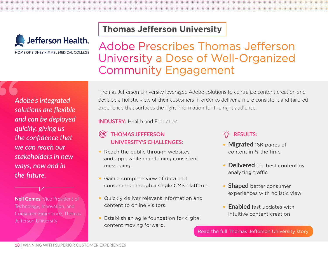

HOME OF SIDNEY KIMMEL MEDICAL COLLEGE

### **[Thomas Jefferson University](https://wwwimages2.adobe.com/content/dam/acom/en/customer-success/pdfs/thomas-jefferson-university-case-study.pdf)**

### Adobe Prescribes Thomas Jefferson University a Dose of Well-Organized Community Engagement

*Adobe's integrated solutions are flexible and can be deployed quickly, giving us the confidence that we can reach our stakeholders in new ways, now and in the future.*

**Neil Gomes**, Vice President of Technology, Innovation, and Consumer Experience, Thomas Jefferson University

Thomas Jefferson University leveraged Adobe solutions to centralize content creation and develop a holistic view of their customers in order to deliver a more consistent and tailored experience that surfaces the right information for the right audience.

**INDUSTRY:** Health and Education

- ൲  **THOMAS JEFFERSON UNIVERSITY'S CHALLENGES:**
- Reach the public through websites and apps while maintaining consistent messaging.
- Gain a complete view of data and consumers through a single CMS platform.
- Quickly deliver relevant information and content to online visitors.
- Establish an agile foundation for digital content moving forward.

### **RESULTS:**

- **Migrated** 16K pages of content in ⅓ the time
- **Delivered** the best content by analyzing traffic
- **Shaped** better consumer experiences with holistic view
- **Enabled** fast updates with intuitive content creation

[Read the full Thomas Jefferson University story](https://wwwimages2.adobe.com/content/dam/acom/en/customer-success/pdfs/thomas-jefferson-university-case-study.pdf)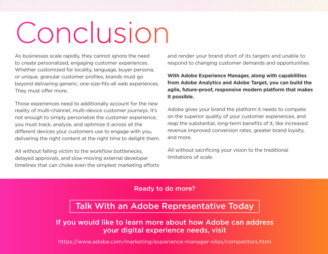# Conclusion

As businesses scale rapidly, they cannot ignore the need to create personalized, engaging customer experiences. Whether customized for locality, language, buyer persona, or unique, granular customer profiles, brands must go beyond delivering generic, one-size-fits-all web experiences. They must offer more.

Those experiences need to additionally account for the new reality of multi-channel, multi-device customer journeys. It's not enough to simply personalize the customer experience; you must track, analyze, and optimize it across all the different devices your customers use to engage with you, delivering the right content at the right time to delight them.

All without falling victim to the workflow bottlenecks, delayed approvals, and slow-moving external developer timelines that can choke even the simplest marketing efforts and render your brand short of its targets and unable to respond to changing customer demands and opportunities.

**With Adobe Experience Manager, along with capabilities from Adobe Analytics and Adobe Target, you can build the agile, future-proof, responsive modern platform that makes it possible.**

Adobe gives your brand the platform it needs to compete on the superior quality of your customer experiences, and reap the substantial, long-term benefits of it, like increased revenue improved conversion rates, greater brand loyalty, and more.

All without sacrificing your vision to the traditional limitations of scale.

#### Ready to do more?

### [Talk With an Adobe Representative Today](https://www.adobe.com/products/request-consultation/experience-cloud.html)

If you would like to learn more about how Adobe can address your digital experience needs, visit

<https://www.adobe.com/marketing/experience-manager-sites/competitors.html>